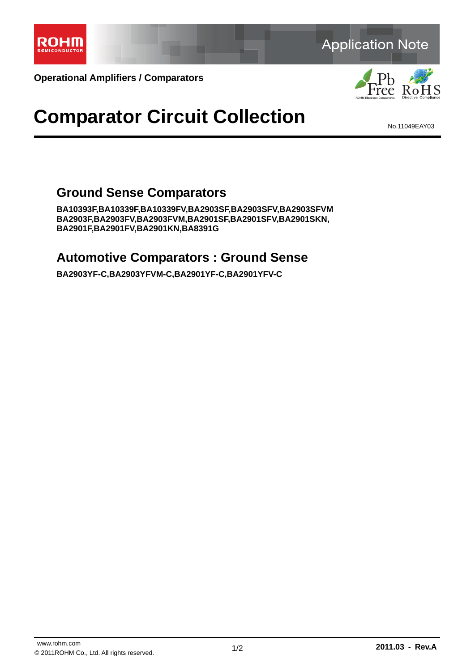

RoHS

No.11049EAY03

## **Comparator Circuit Collection**

**Ground Sense Comparators** 

**Operational Amplifiers / Comparators**

**BA10393F,BA10339F,BA10339FV,BA2903SF,BA2903SFV,BA2903SFVM BA2903F,BA2903FV,BA2903FVM,BA2901SF,BA2901SFV,BA2901SKN, BA2901F,BA2901FV,BA2901KN,BA8391G** 

## **Automotive Comparators : Ground Sense**

**BA2903YF-C,BA2903YFVM-C,BA2901YF-C,BA2901YFV-C** 

 1/2 www.rohm.com **2011.03 - Rev.A** © 2011ROHM Co., Ltd. All rights reserved.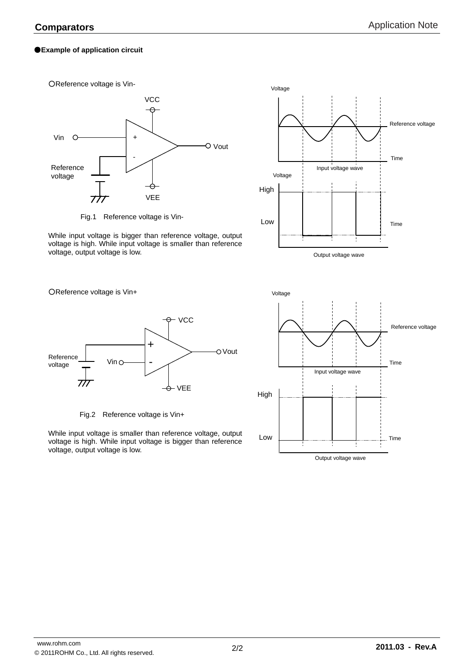## ●**Example of application circuit**



Fig.1 Reference voltage is Vin-

While input voltage is bigger than reference voltage, output voltage is high. While input voltage is smaller than reference voltage, output voltage is low.



OReference voltage is Vin+



Fig.2 Reference voltage is Vin+

While input voltage is smaller than reference voltage, output voltage is high. While input voltage is bigger than reference voltage, output voltage is low.